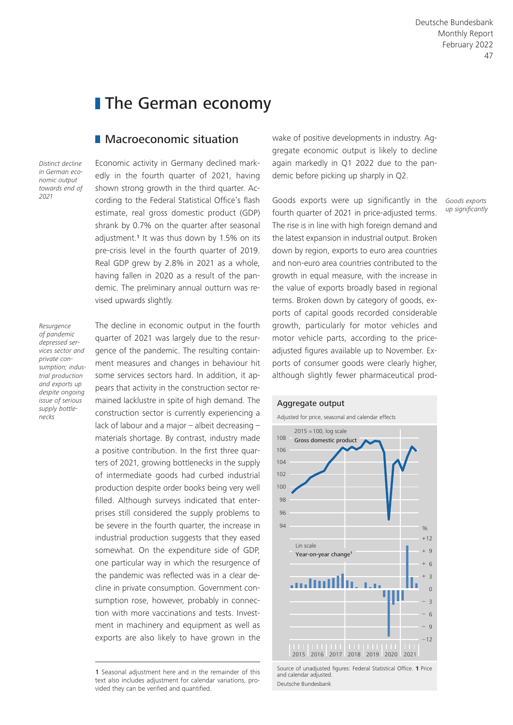# **The German economy**

## **Macroeconomic situation**

*Distinct decline in German economic output towards end of 2021*

Economic activity in Germany declined markedly in the fourth quarter of 2021, having shown strong growth in the third quarter. According to the Federal Statistical Office's flash estimate, real gross domestic product (GDP) shrank by 0.7% on the quarter after seasonal adjustment.<sup>1</sup> It was thus down by 1.5% on its pre-crisis level in the fourth quarter of 2019. Real GDP grew by 2.8% in 2021 as a whole, having fallen in 2020 as a result of the pandemic. The preliminary annual outturn was revised upwards slightly.

*Resurgence of pandemic depressed services sector and private consumption; industrial production and exports up despite ongoing issue of serious supply bottlenecks*

The decline in economic output in the fourth quarter of 2021 was largely due to the resurgence of the pandemic. The resulting containment measures and changes in behaviour hit some services sectors hard. In addition, it appears that activity in the construction sector remained lacklustre in spite of high demand. The construction sector is currently experiencing a lack of labour and a major – albeit decreasing – materials shortage. By contrast, industry made a positive contribution. In the first three quarters of 2021, growing bottlenecks in the supply of intermediate goods had curbed industrial production despite order books being very well filled. Although surveys indicated that enterprises still considered the supply problems to be severe in the fourth quarter, the increase in industrial production suggests that they eased somewhat. On the expenditure side of GDP, one particular way in which the resurgence of the pandemic was reflected was in a clear decline in private consumption. Government consumption rose, however, probably in connection with more vaccinations and tests. Investment in machinery and equipment as well as exports are also likely to have grown in the wake of positive developments in industry. Aggregate economic output is likely to decline again markedly in Q1 2022 due to the pandemic before picking up sharply in Q2.

Goods exports were up significantly in the fourth quarter of 2021 in price-adjusted terms. The rise is in line with high foreign demand and the latest expansion in industrial output. Broken down by region, exports to euro area countries and non-euro area countries contributed to the growth in equal measure, with the increase in the value of exports broadly based in regional terms. Broken down by category of goods, exports of capital goods recorded considerable growth, particularly for motor vehicles and motor vehicle parts, according to the priceadjusted figures available up to November. Exports of consumer goods were clearly higher, although slightly fewer pharmaceutical prod-



Source of unadjusted figures: Federal Statistical Office. **1** Price and calendar adjusted. Deutsche Bundesbank

*Goods exports up significantly*

<sup>1</sup> Seasonal adjustment here and in the remainder of this text also includes adjustment for calendar variations, provided they can be verified and quantified.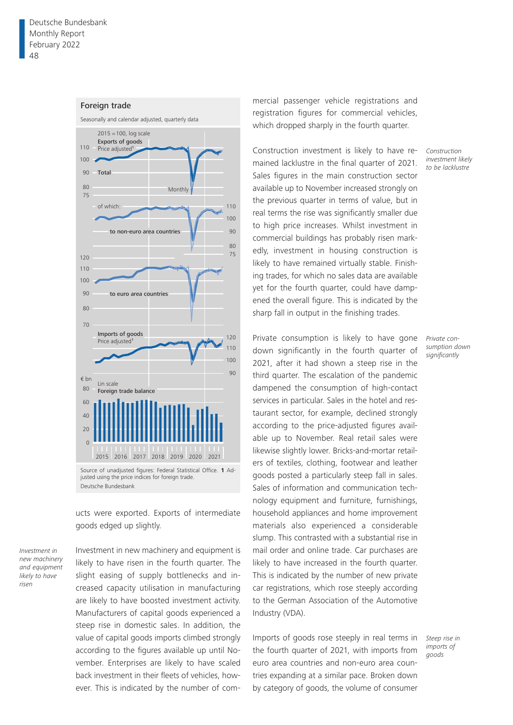#### Foreign trade



justed using the price indices for foreign trade. Deutsche Bundesbank

ucts were exported. Exports of intermediate goods edged up slightly.

*Investment in new machinery and equipment likely to have risen*

Investment in new machinery and equipment is likely to have risen in the fourth quarter. The slight easing of supply bottlenecks and increased capacity utilisation in manufacturing are likely to have boosted investment activity. Manufacturers of capital goods experienced a steep rise in domestic sales. In addition, the value of capital goods imports climbed strongly according to the figures available up until November. Enterprises are likely to have scaled back investment in their fleets of vehicles, however. This is indicated by the number of com-

mercial passenger vehicle registrations and registration figures for commercial vehicles, which dropped sharply in the fourth quarter.

Construction investment is likely to have remained lacklustre in the final quarter of 2021. Sales figures in the main construction sector available up to November increased strongly on the previous quarter in terms of value, but in real terms the rise was significantly smaller due to high price increases. Whilst investment in commercial buildings has probably risen markedly, investment in housing construction is likely to have remained virtually stable. Finishing trades, for which no sales data are available yet for the fourth quarter, could have dampened the overall figure. This is indicated by the sharp fall in output in the finishing trades.

Private consumption is likely to have gone down significantly in the fourth quarter of 2021, after it had shown a steep rise in the third quarter. The escalation of the pandemic dampened the consumption of high-contact services in particular. Sales in the hotel and restaurant sector, for example, declined strongly according to the price-adjusted figures available up to November. Real retail sales were likewise slightly lower. Bricks-and-mortar retailers of textiles, clothing, footwear and leather goods posted a particularly steep fall in sales. Sales of information and communication technology equipment and furniture, furnishings, household appliances and home improvement materials also experienced a considerable slump. This contrasted with a substantial rise in mail order and online trade. Car purchases are likely to have increased in the fourth quarter. This is indicated by the number of new private car registrations, which rose steeply according to the German Association of the Automotive Industry (VDA).

Imports of goods rose steeply in real terms in the fourth quarter of 2021, with imports from euro area countries and non-euro area countries expanding at a similar pace. Broken down by category of goods, the volume of consumer *Construction investment likely to be lacklustre*

*Private consumption down significantly*

*Steep rise in imports of goods*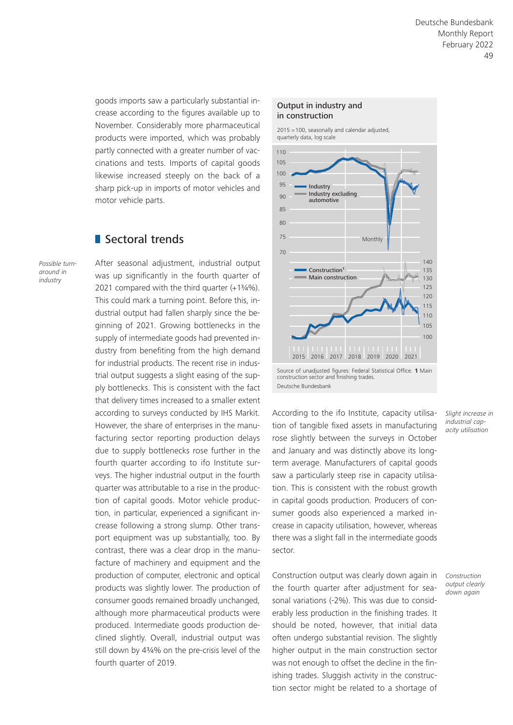goods imports saw a particularly substantial increase according to the figures available up to November. Considerably more pharmaceutical products were imported, which was probably partly connected with a greater number of vaccinations and tests. Imports of capital goods likewise increased steeply on the back of a sharp pick-up in imports of motor vehicles and motor vehicle parts.

# Sectoral trends

*Possible turnaround in industry*

After seasonal adjustment, industrial output was up significantly in the fourth quarter of 2021 compared with the third quarter (+1¾%). This could mark a turning point. Before this, industrial output had fallen sharply since the beginning of 2021. Growing bottlenecks in the supply of intermediate goods had prevented industry from benefiting from the high demand for industrial products. The recent rise in industrial output suggests a slight easing of the supply bottlenecks. This is consistent with the fact that delivery times increased to a smaller extent according to surveys conducted by IHS Markit. However, the share of enterprises in the manufacturing sector reporting production delays due to supply bottlenecks rose further in the fourth quarter according to ifo Institute surveys. The higher industrial output in the fourth quarter was attributable to a rise in the production of capital goods. Motor vehicle production, in particular, experienced a significant increase following a strong slump. Other transport equipment was up substantially, too. By contrast, there was a clear drop in the manufacture of machinery and equipment and the production of computer, electronic and optical products was slightly lower. The production of consumer goods remained broadly unchanged, although more pharmaceutical products were produced. Intermediate goods production declined slightly. Overall, industrial output was still down by 4¾% on the pre-crisis level of the fourth quarter of 2019.

#### Output in industry and in construction

2015 = 100, seasonally and calendar adjusted, quarterly data, log scale



Source of unadjusted figures: Federal Statistical Office. **1** Main construction sector and finishing trades. Deutsche Bundesbank

According to the ifo Institute, capacity utilisation of tangible fixed assets in manufacturing rose slightly between the surveys in October and January and was distinctly above its longterm average. Manufacturers of capital goods saw a particularly steep rise in capacity utilisation. This is consistent with the robust growth in capital goods production. Producers of consumer goods also experienced a marked increase in capacity utilisation, however, whereas there was a slight fall in the intermediate goods sector.

Construction output was clearly down again in the fourth quarter after adjustment for seasonal variations (-2%). This was due to considerably less production in the finishing trades. It should be noted, however, that initial data often undergo substantial revision. The slightly higher output in the main construction sector was not enough to offset the decline in the finishing trades. Sluggish activity in the construction sector might be related to a shortage of

*Slight increase in industrial capacity utilisation*

*Construction output clearly down again*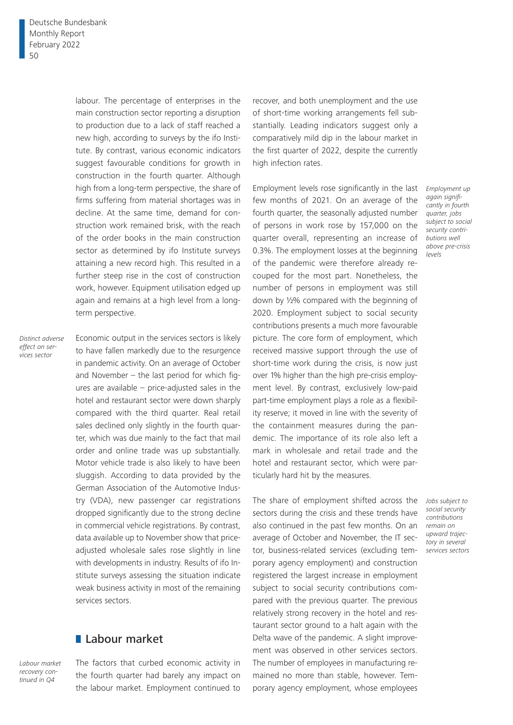labour. The percentage of enterprises in the main construction sector reporting a disruption to production due to a lack of staff reached a new high, according to surveys by the ifo Institute. By contrast, various economic indicators suggest favourable conditions for growth in construction in the fourth quarter. Although high from a long-term perspective, the share of firms suffering from material shortages was in decline. At the same time, demand for construction work remained brisk, with the reach of the order books in the main construction sector as determined by ifo Institute surveys attaining a new record high. This resulted in a further steep rise in the cost of construction work, however. Equipment utilisation edged up again and remains at a high level from a longterm perspective.

*Distinct adverse effect on services sector*

Economic output in the services sectors is likely to have fallen markedly due to the resurgence in pandemic activity. On an average of October and November – the last period for which figures are available – price-adjusted sales in the hotel and restaurant sector were down sharply compared with the third quarter. Real retail sales declined only slightly in the fourth quarter, which was due mainly to the fact that mail order and online trade was up substantially. Motor vehicle trade is also likely to have been sluggish. According to data provided by the German Association of the Automotive Industry (VDA), new passenger car registrations dropped significantly due to the strong decline in commercial vehicle registrations. By contrast, data available up to November show that priceadjusted wholesale sales rose slightly in line with developments in industry. Results of ifo Institute surveys assessing the situation indicate weak business activity in most of the remaining services sectors.

## **Labour market**

*Labour market recovery continued in Q4*

The factors that curbed economic activity in the fourth quarter had barely any impact on the labour market. Employment continued to

recover, and both unemployment and the use of short-time working arrangements fell substantially. Leading indicators suggest only a comparatively mild dip in the labour market in the first quarter of 2022, despite the currently high infection rates.

Employment levels rose significantly in the last few months of 2021. On an average of the fourth quarter, the seasonally adjusted number of persons in work rose by 157,000 on the quarter overall, representing an increase of 0.3%. The employment losses at the beginning of the pandemic were therefore already recouped for the most part. Nonetheless, the number of persons in employment was still down by ½% compared with the beginning of 2020. Employment subject to social security contributions presents a much more favourable picture. The core form of employment, which received massive support through the use of short-time work during the crisis, is now just over 1% higher than the high pre-crisis employment level. By contrast, exclusively low-paid part-time employment plays a role as a flexibility reserve; it moved in line with the severity of the containment measures during the pandemic. The importance of its role also left a mark in wholesale and retail trade and the hotel and restaurant sector, which were particularly hard hit by the measures.

The share of employment shifted across the *Jobs subject to*  sectors during the crisis and these trends have also continued in the past few months. On an *remain on*  average of October and November, the IT sector, business-related services (excluding temporary agency employment) and construction registered the largest increase in employment subject to social security contributions compared with the previous quarter. The previous relatively strong recovery in the hotel and restaurant sector ground to a halt again with the Delta wave of the pandemic. A slight improvement was observed in other services sectors. The number of employees in manufacturing remained no more than stable, however. Temporary agency employment, whose employees

*Employment up again significantly in fourth quarter, jobs subject to social security contributions well above pre-crisis levels*

*social security contributions upward trajectory in several services sectors*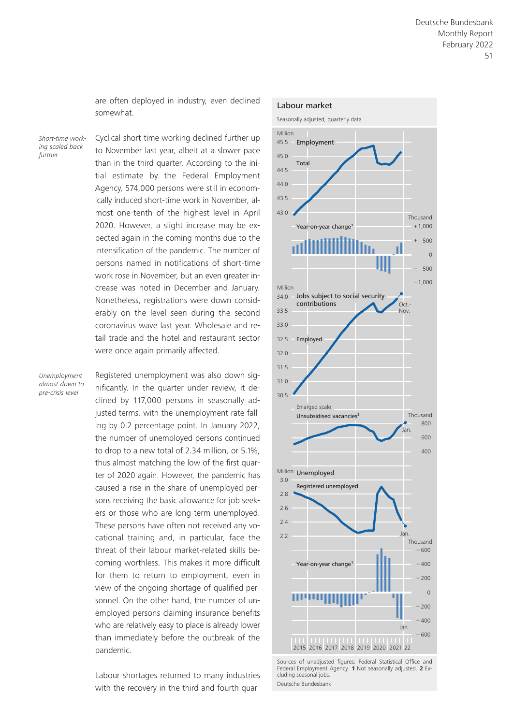are often deployed in industry, even declined somewhat.

*Short-time working scaled back further*

Cyclical short-time working declined further up to November last year, albeit at a slower pace than in the third quarter. According to the initial estimate by the Federal Employment Agency, 574,000 persons were still in economically induced short-time work in November, almost one-tenth of the highest level in April 2020. However, a slight increase may be expected again in the coming months due to the intensification of the pandemic. The number of persons named in notifications of short-time work rose in November, but an even greater increase was noted in December and January. Nonetheless, registrations were down considerably on the level seen during the second coronavirus wave last year. Wholesale and retail trade and the hotel and restaurant sector were once again primarily affected.

*Unemployment almost down to pre-crisis level*

Registered unemployment was also down significantly. In the quarter under review, it declined by 117,000 persons in seasonally adjusted terms, with the unemployment rate falling by 0.2 percentage point. In January 2022, the number of unemployed persons continued to drop to a new total of 2.34 million, or 5.1%, thus almost matching the low of the first quarter of 2020 again. However, the pandemic has caused a rise in the share of unemployed persons receiving the basic allowance for job seekers or those who are long-term unemployed. These persons have often not received any vocational training and, in particular, face the threat of their labour market-related skills becoming worthless. This makes it more difficult for them to return to employment, even in view of the ongoing shortage of qualified personnel. On the other hand, the number of unemployed persons claiming insurance benefits who are relatively easy to place is already lower than immediately before the outbreak of the pandemic.

Labour shortages returned to many industries with the recovery in the third and fourth quar-



Sources of unadjusted figures: Federal Statistical Office and Federal Employment Agency. **1** Not seasonally adjusted. **2** Excluding seasonal jobs. Deutsche Bundesbank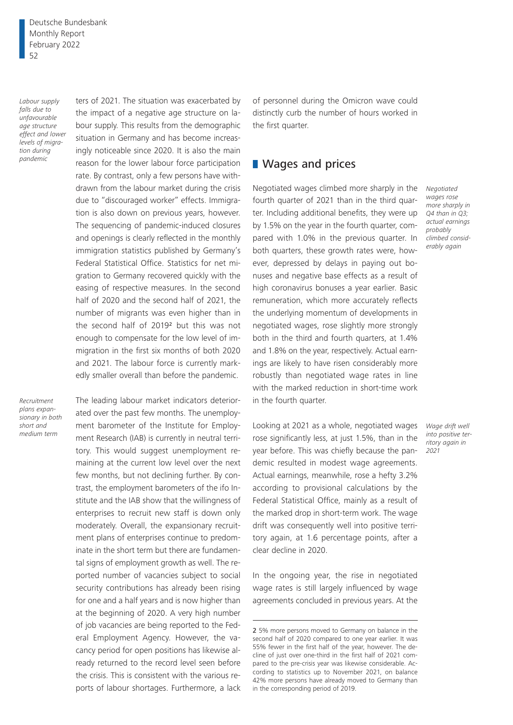Deutsche Bundesbank Monthly Report February 2022 52

*Labour supply falls due to unfavourable age structure effect and lower levels of migration during pandemic*

ters of 2021. The situation was exacerbated by the impact of a negative age structure on labour supply. This results from the demographic situation in Germany and has become increasingly noticeable since 2020. It is also the main reason for the lower labour force participation rate. By contrast, only a few persons have withdrawn from the labour market during the crisis due to "discouraged worker" effects. Immigration is also down on previous years, however. The sequencing of pandemic-induced closures and openings is clearly reflected in the monthly immigration statistics published by Germany's Federal Statistical Office. Statistics for net migration to Germany recovered quickly with the easing of respective measures. In the second half of 2020 and the second half of 2021, the number of migrants was even higher than in the second half of 20192 but this was not enough to compensate for the low level of immigration in the first six months of both 2020 and 2021. The labour force is currently markedly smaller overall than before the pandemic.

*Recruitment plans expansionary in both short and medium term*

The leading labour market indicators deteriorated over the past few months. The unemployment barometer of the Institute for Employment Research (IAB) is currently in neutral territory. This would suggest unemployment remaining at the current low level over the next few months, but not declining further. By contrast, the employment barometers of the ifo Institute and the IAB show that the willingness of enterprises to recruit new staff is down only moderately. Overall, the expansionary recruitment plans of enterprises continue to predominate in the short term but there are fundamental signs of employment growth as well. The reported number of vacancies subject to social security contributions has already been rising for one and a half years and is now higher than at the beginning of 2020. A very high number of job vacancies are being reported to the Federal Employment Agency. However, the vacancy period for open positions has likewise already returned to the record level seen before the crisis. This is consistent with the various reports of labour shortages. Furthermore, a lack of personnel during the Omicron wave could distinctly curb the number of hours worked in the first quarter.

### **NA** Wages and prices

Negotiated wages climbed more sharply in the fourth quarter of 2021 than in the third quarter. Including additional benefits, they were up by 1.5% on the year in the fourth quarter, compared with 1.0% in the previous quarter. In both quarters, these growth rates were, however, depressed by delays in paying out bonuses and negative base effects as a result of high coronavirus bonuses a year earlier. Basic remuneration, which more accurately reflects the underlying momentum of developments in negotiated wages, rose slightly more strongly both in the third and fourth quarters, at 1.4% and 1.8% on the year, respectively. Actual earnings are likely to have risen considerably more robustly than negotiated wage rates in line with the marked reduction in short-time work in the fourth quarter.

Looking at 2021 as a whole, negotiated wages rose significantly less, at just 1.5%, than in the year before. This was chiefly because the pandemic resulted in modest wage agreements. Actual earnings, meanwhile, rose a hefty 3.2% according to provisional calculations by the Federal Statistical Office, mainly as a result of the marked drop in short-term work. The wage drift was consequently well into positive territory again, at 1.6 percentage points, after a clear decline in 2020.

In the ongoing year, the rise in negotiated wage rates is still largely influenced by wage agreements concluded in previous years. At the *Negotiated wages rose more sharply in Q4 than in Q3; actual earnings probably climbed considerably again*

*Wage drift well into positive territory again in 2021*

<sup>2</sup> 5% more persons moved to Germany on balance in the second half of 2020 compared to one year earlier. It was 55% fewer in the first half of the year, however. The decline of just over one-third in the first half of 2021 compared to the pre-crisis year was likewise considerable. According to statistics up to November 2021, on balance 42% more persons have already moved to Germany than in the corresponding period of 2019.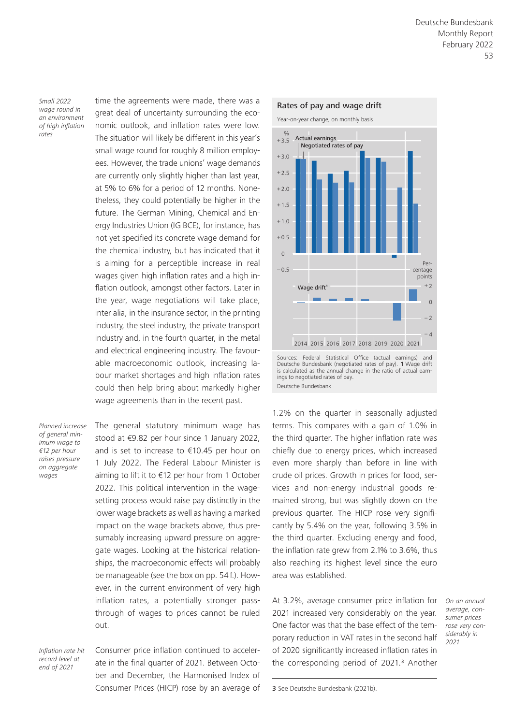*Small 2022 wage round in an environment of high inflation rates*

time the agreements were made, there was a great deal of uncertainty surrounding the economic outlook, and inflation rates were low. The situation will likely be different in this year's small wage round for roughly 8 million employees. However, the trade unions' wage demands are currently only slightly higher than last year, at 5% to 6% for a period of 12 months. Nonetheless, they could potentially be higher in the future. The German Mining, Chemical and Energy Industries Union (IG BCE), for instance, has not yet specified its concrete wage demand for the chemical industry, but has indicated that it is aiming for a perceptible increase in real wages given high inflation rates and a high inflation outlook, amongst other factors. Later in the year, wage negotiations will take place, inter alia, in the insurance sector, in the printing industry, the steel industry, the private transport industry and, in the fourth quarter, in the metal and electrical engineering industry. The favourable macroeconomic outlook, increasing labour market shortages and high inflation rates could then help bring about markedly higher wage agreements than in the recent past.

*Planned increase of general minimum wage to €12 per hour raises pressure on aggregate wages*

The general statutory minimum wage has stood at €9.82 per hour since 1 January 2022, and is set to increase to €10.45 per hour on 1 July 2022. The Federal Labour Minister is aiming to lift it to €12 per hour from 1 October 2022. This political intervention in the wagesetting process would raise pay distinctly in the lower wage brackets as well as having a marked impact on the wage brackets above, thus presumably increasing upward pressure on aggregate wages. Looking at the historical relationships, the macroeconomic effects will probably be manageable (see the box on pp. 54 f.). However, in the current environment of very high inflation rates, a potentially stronger passthrough of wages to prices cannot be ruled out.

*Inflation rate hit record level at end of 2021*

Consumer price inflation continued to accelerate in the final quarter of 2021. Between October and December, the Harmonised Index of Consumer Prices (HICP) rose by an average of



Deutsche Bundesbank (negotiated rates of pay). **1** Wage drift is calculated as the annual change in the ratio of actual earnings to negotiated rates of pay. Deutsche Bundesbank

1.2% on the quarter in seasonally adjusted terms. This compares with a gain of 1.0% in the third quarter. The higher inflation rate was chiefly due to energy prices, which increased even more sharply than before in line with crude oil prices. Growth in prices for food, services and non-energy industrial goods remained strong, but was slightly down on the previous quarter. The HICP rose very significantly by 5.4% on the year, following 3.5% in the third quarter. Excluding energy and food, the inflation rate grew from 2.1% to 3.6%, thus also reaching its highest level since the euro area was established.

At 3.2%, average consumer price inflation for 2021 increased very considerably on the year. One factor was that the base effect of the temporary reduction in VAT rates in the second half of 2020 significantly increased inflation rates in the corresponding period of 2021.<sup>3</sup> Another

*On an annual average, consumer prices rose very considerably in 2021*

3 See Deutsche Bundesbank (2021b).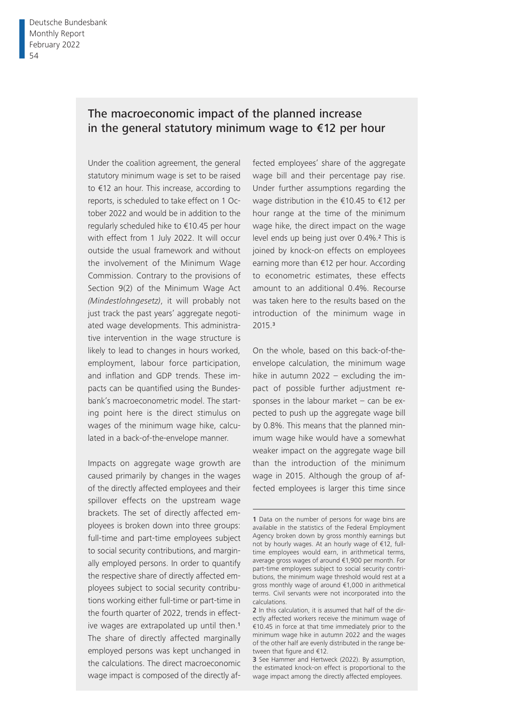# The macroeconomic impact of the planned increase in the general statutory minimum wage to €12 per hour

Under the coalition agreement, the general statutory minimum wage is set to be raised to €12 an hour. This increase, according to reports, is scheduled to take effect on 1 October 2022 and would be in addition to the regularly scheduled hike to €10.45 per hour with effect from 1 July 2022. It will occur outside the usual framework and without the involvement of the Minimum Wage Commission. Contrary to the provisions of Section 9(2) of the Minimum Wage Act *(Mindestlohngesetz)*, it will probably not just track the past years' aggregate negotiated wage developments. This administrative intervention in the wage structure is likely to lead to changes in hours worked, employment, labour force participation, and inflation and GDP trends. These impacts can be quantified using the Bundesbank's macroeconometric model. The starting point here is the direct stimulus on wages of the minimum wage hike, calculated in a back-of-the-envelope manner.

Impacts on aggregate wage growth are caused primarily by changes in the wages of the directly affected employees and their spillover effects on the upstream wage brackets. The set of directly affected employees is broken down into three groups: full-time and part-time employees subject to social security contributions, and marginally employed persons. In order to quantify the respective share of directly affected employees subject to social security contributions working either full-time or part-time in the fourth quarter of 2022, trends in effective wages are extrapolated up until then.<sup>1</sup> The share of directly affected marginally employed persons was kept unchanged in the calculations. The direct macroeconomic wage impact is composed of the directly affected employees' share of the aggregate wage bill and their percentage pay rise. Under further assumptions regarding the wage distribution in the €10.45 to €12 per hour range at the time of the minimum wage hike, the direct impact on the wage level ends up being just over 0.4%.2 This is joined by knock-on effects on employees earning more than €12 per hour. According to econometric estimates, these effects amount to an additional 0.4%. Recourse was taken here to the results based on the introduction of the minimum wage in 2015.<sup>3</sup>

On the whole, based on this back-of-theenvelope calculation, the minimum wage hike in autumn 2022 – excluding the impact of possible further adjustment responses in the labour market – can be expected to push up the aggregate wage bill by 0.8%. This means that the planned minimum wage hike would have a somewhat weaker impact on the aggregate wage bill than the introduction of the minimum wage in 2015. Although the group of affected employees is larger this time since

3 See Hammer and Hertweck (2022). By assumption, the estimated knock-on effect is proportional to the wage impact among the directly affected employees.

<sup>1</sup> Data on the number of persons for wage bins are available in the statistics of the Federal Employment Agency broken down by gross monthly earnings but not by hourly wages. At an hourly wage of €12, fulltime employees would earn, in arithmetical terms, average gross wages of around €1,900 per month. For part-time employees subject to social security contributions, the minimum wage threshold would rest at a gross monthly wage of around €1,000 in arithmetical terms. Civil servants were not incorporated into the calculations.

<sup>2</sup> In this calculation, it is assumed that half of the directly affected workers receive the minimum wage of €10.45 in force at that time immediately prior to the minimum wage hike in autumn 2022 and the wages of the other half are evenly distributed in the range between that figure and  $€12$ .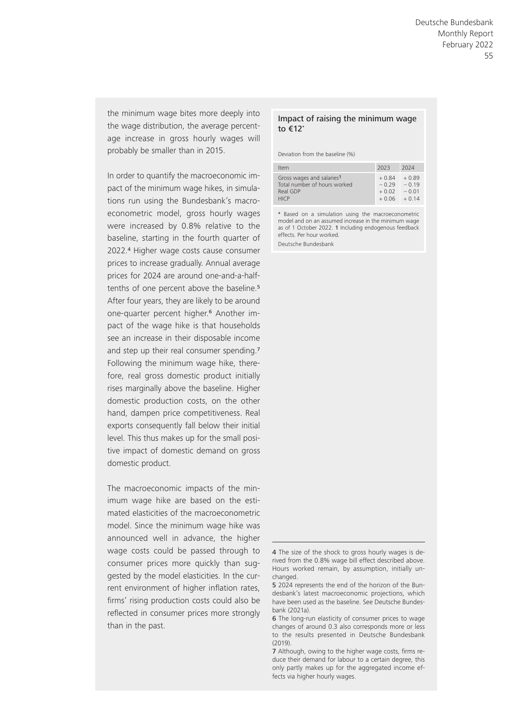the minimum wage bites more deeply into the wage distribution, the average percentage increase in gross hourly wages will probably be smaller than in 2015.

In order to quantify the macroeconomic impact of the minimum wage hikes, in simulations run using the Bundesbank's macroeconometric model, gross hourly wages were increased by 0.8% relative to the baseline, starting in the fourth quarter of 2022.4 Higher wage costs cause consumer prices to increase gradually. Annual average prices for 2024 are around one-and-a-halftenths of one percent above the baseline.<sup>5</sup> After four years, they are likely to be around one-quarter percent higher.<sup>6</sup> Another impact of the wage hike is that households see an increase in their disposable income and step up their real consumer spending.<sup>7</sup> Following the minimum wage hike, therefore, real gross domestic product initially rises marginally above the baseline. Higher domestic production costs, on the other hand, dampen price competitiveness. Real exports consequently fall below their initial level. This thus makes up for the small positive impact of domestic demand on gross domestic product.

The macroeconomic impacts of the minimum wage hike are based on the estimated elasticities of the macroeconometric model. Since the minimum wage hike was announced well in advance, the higher wage costs could be passed through to consumer prices more quickly than suggested by the model elasticities. In the current environment of higher inflation rates, firms' rising production costs could also be reflected in consumer prices more strongly than in the past.

### Impact of raising the minimum wage to €12\*

Deviation from the baseline (%)

| Item                         | 2023    | 2024    |
|------------------------------|---------|---------|
| Gross wages and salaries1    | $+0.84$ | $+0.89$ |
| Total number of hours worked | $-0.29$ | $-0.19$ |
| Real GDP                     | $+0.02$ | $-0.01$ |
| <b>HICP</b>                  | $+0.06$ | $+0.14$ |

\* Based on a simulation using the macroeconometric model and on an assumed increase in the minimum wage as of 1 October 2022. 1 Including endogenous feedback effects. Per hour worked.

Deutsche Bundesbank

<sup>4</sup> The size of the shock to gross hourly wages is derived from the 0.8% wage bill effect described above. Hours worked remain, by assumption, initially unchanged.

<sup>5 2024</sup> represents the end of the horizon of the Bundesbank's latest macroeconomic projections, which have been used as the baseline. See Deutsche Bundesbank (2021a).

<sup>6</sup> The long-run elasticity of consumer prices to wage changes of around 0.3 also corresponds more or less to the results presented in Deutsche Bundesbank (2019).

<sup>7</sup> Although, owing to the higher wage costs, firms reduce their demand for labour to a certain degree, this only partly makes up for the aggregated income effects via higher hourly wages.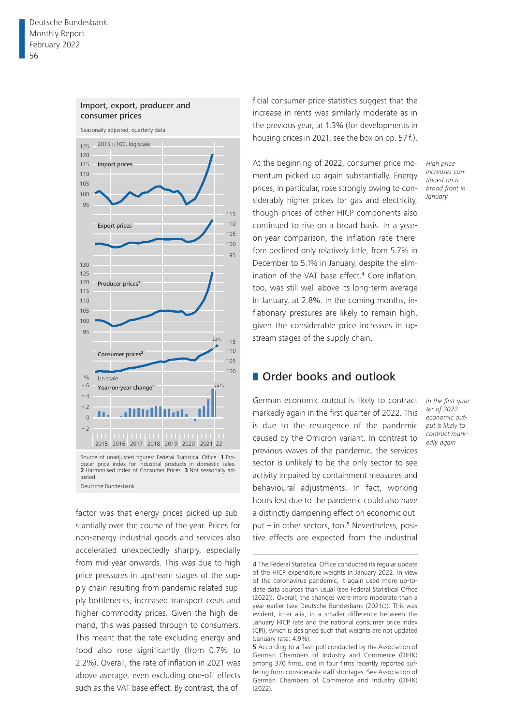

# Import, export, producer and

Source of unadjusted figures: Federal Statistical Office. **1** Producer price index for industrial products in domestic sales. **2** Harmonised Index of Consumer Prices. **3** Not seasonally adjusted. Deutsche Bundesbank

factor was that energy prices picked up substantially over the course of the year. Prices for non-energy industrial goods and services also accelerated unexpectedly sharply, especially from mid-year onwards. This was due to high price pressures in upstream stages of the supply chain resulting from pandemic-related supply bottlenecks, increased transport costs and higher commodity prices. Given the high demand, this was passed through to consumers. This meant that the rate excluding energy and food also rose significantly (from 0.7% to 2.2%). Overall, the rate of inflation in 2021 was above average, even excluding one-off effects such as the VAT base effect. By contrast, the of-

ficial consumer price statistics suggest that the increase in rents was similarly moderate as in the previous year, at 1.3% (for developments in housing prices in 2021, see the box on pp. 57 f.).

At the beginning of 2022, consumer price momentum picked up again substantially. Energy prices, in particular, rose strongly owing to considerably higher prices for gas and electricity, though prices of other HICP components also continued to rise on a broad basis. In a yearon-year comparison, the inflation rate therefore declined only relatively little, from 5.7% in December to 5.1% in January, despite the elimination of the VAT base effect.4 Core inflation, too, was still well above its long-term average in January, at 2.8%. In the coming months, inflationary pressures are likely to remain high, given the considerable price increases in upstream stages of the supply chain.

**Order books and outlook** 

German economic output is likely to contract markedly again in the first quarter of 2022. This is due to the resurgence of the pandemic caused by the Omicron variant. In contrast to previous waves of the pandemic, the services sector is unlikely to be the only sector to see activity impaired by containment measures and behavioural adjustments. In fact, working hours lost due to the pandemic could also have a distinctly dampening effect on economic out $put - in other sectors, too.<sup>5</sup> Nevertheless, posi$ tive effects are expected from the industrial

*High price increases continued on a broad front in January*

*In the first quarter of 2022, economic output is likely to contract markedly again*

<sup>4</sup> The Federal Statistical Office conducted its regular update of the HICP expenditure weights in January 2022. In view of the coronavirus pandemic, it again used more up-todate data sources than usual (see Federal Statistical Office (2022)). Overall, the changes were more moderate than a year earlier (see Deutsche Bundesbank (2021c)). This was evident, inter alia, in a smaller difference between the January HICP rate and the national consumer price index (CPI), which is designed such that weights are not updated (January rate: 4.9%).

<sup>5</sup> According to a flash poll conducted by the Association of German Chambers of Industry and Commerce (DIHK) among 370 firms, one in four firms recently reported suffering from considerable staff shortages. See Association of German Chambers of Commerce and Industry (DIHK) (2022).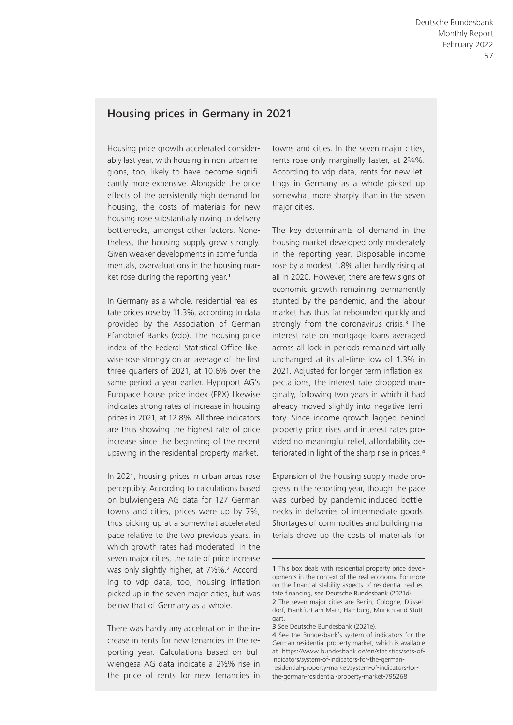# Housing prices in Germany in 2021

Housing price growth accelerated considerably last year, with housing in non-urban regions, too, likely to have become significantly more expensive. Alongside the price effects of the persistently high demand for housing, the costs of materials for new housing rose substantially owing to delivery bottlenecks, amongst other factors. Nonetheless, the housing supply grew strongly. Given weaker developments in some fundamentals, overvaluations in the housing market rose during the reporting year.<sup>1</sup>

In Germany as a whole, residential real estate prices rose by 11.3%, according to data provided by the Association of German Pfandbrief Banks (vdp). The housing price index of the Federal Statistical Office likewise rose strongly on an average of the first three quarters of 2021, at 10.6% over the same period a year earlier. Hypoport AG's Europace house price index (EPX) likewise indicates strong rates of increase in housing prices in 2021, at 12.8%. All three indicators are thus showing the highest rate of price increase since the beginning of the recent upswing in the residential property market.

In 2021, housing prices in urban areas rose perceptibly. According to calculations based on bulwiengesa AG data for 127 German towns and cities, prices were up by 7%, thus picking up at a somewhat accelerated pace relative to the two previous years, in which growth rates had moderated. In the seven major cities, the rate of price increase was only slightly higher, at 7½%.2 According to vdp data, too, housing inflation picked up in the seven major cities, but was below that of Germany as a whole.

There was hardly any acceleration in the increase in rents for new tenancies in the reporting year. Calculations based on bulwiengesa AG data indicate a 2½% rise in the price of rents for new tenancies in towns and cities. In the seven major cities, rents rose only marginally faster, at 2¾%. According to vdp data, rents for new lettings in Germany as a whole picked up somewhat more sharply than in the seven major cities.

The key determinants of demand in the housing market developed only moderately in the reporting year. Disposable income rose by a modest 1.8% after hardly rising at all in 2020. However, there are few signs of economic growth remaining permanently stunted by the pandemic, and the labour market has thus far rebounded quickly and strongly from the coronavirus crisis.<sup>3</sup> The interest rate on mortgage loans averaged across all lock-in periods remained virtually unchanged at its all-time low of 1.3% in 2021. Adjusted for longer-term inflation expectations, the interest rate dropped marginally, following two years in which it had already moved slightly into negative territory. Since income growth lagged behind property price rises and interest rates provided no meaningful relief, affordability deteriorated in light of the sharp rise in prices.<sup>4</sup>

Expansion of the housing supply made progress in the reporting year, though the pace was curbed by pandemic-induced bottlenecks in deliveries of intermediate goods. Shortages of commodities and building materials drove up the costs of materials for

<sup>1</sup> This box deals with residential property price developments in the context of the real economy. For more on the financial stability aspects of residential real estate financing, see Deutsche Bundesbank (2021d).

<sup>2</sup> The seven major cities are Berlin, Cologne, Düsseldorf, Frankfurt am Main, Hamburg, Munich and Stuttgart.

<sup>3</sup> See Deutsche Bundesbank (2021e).

<sup>4</sup> See the Bundesbank's system of indicators for the German residential property market, which is available at https://www.bundesbank.de/en/statistics/sets-ofindicators/system-of-indicators-for-the-germanresidential-property-market/system-of-indicators-forthe-german-residential-property-market-795268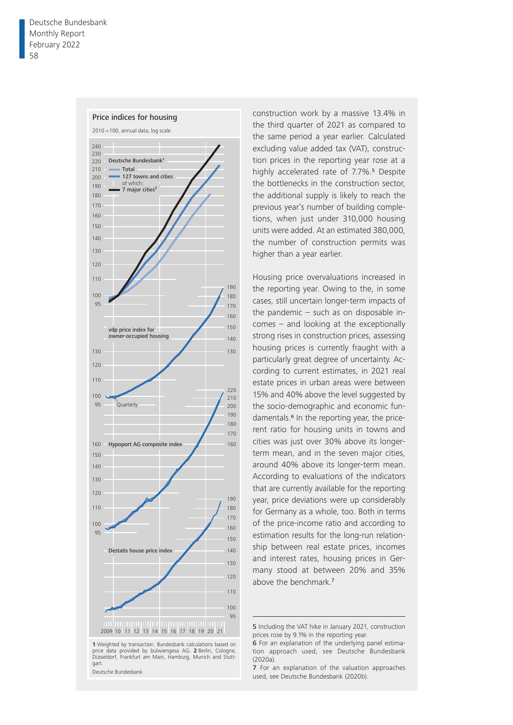

**1** Weighted by transaction. Bundesbank calculations based on price data provided by bulwiengesa AG. **2** Berlin, Cologne, Düsseldorf, Frankfurt am Main, Hamburg, Munich and Stuttgart.

Deutsche Bundesbank

construction work by a massive 13.4% in the third quarter of 2021 as compared to the same period a year earlier. Calculated excluding value added tax (VAT), construction prices in the reporting year rose at a highly accelerated rate of 7.7%.<sup>5</sup> Despite the bottlenecks in the construction sector, the additional supply is likely to reach the previous year's number of building completions, when just under 310,000 housing units were added. At an estimated 380,000, the number of construction permits was higher than a year earlier.

Housing price overvaluations increased in the reporting year. Owing to the, in some cases, still uncertain longer- term impacts of the pandemic – such as on disposable incomes – and looking at the exceptionally strong rises in construction prices, assessing housing prices is currently fraught with a particularly great degree of uncertainty. According to current estimates, in 2021 real estate prices in urban areas were between 15% and 40% above the level suggested by the socio-demographic and economic fundamentals.<sup>6</sup> In the reporting year, the pricerent ratio for housing units in towns and cities was just over 30% above its longerterm mean, and in the seven major cities, around 40% above its longer-term mean. According to evaluations of the indicators that are currently available for the reporting year, price deviations were up considerably for Germany as a whole, too. Both in terms of the price-income ratio and according to estimation results for the long-run relationship between real estate prices, incomes and interest rates, housing prices in Germany stood at between 20% and 35% above the benchmark.<sup>7</sup>

5 Including the VAT hike in January 2021, construction prices rose by 9.1% in the reporting year.

<sup>6</sup> For an explanation of the underlying panel estimation approach used, see Deutsche Bundesbank (2020a).

<sup>7</sup> For an explanation of the valuation approaches used, see Deutsche Bundesbank (2020b).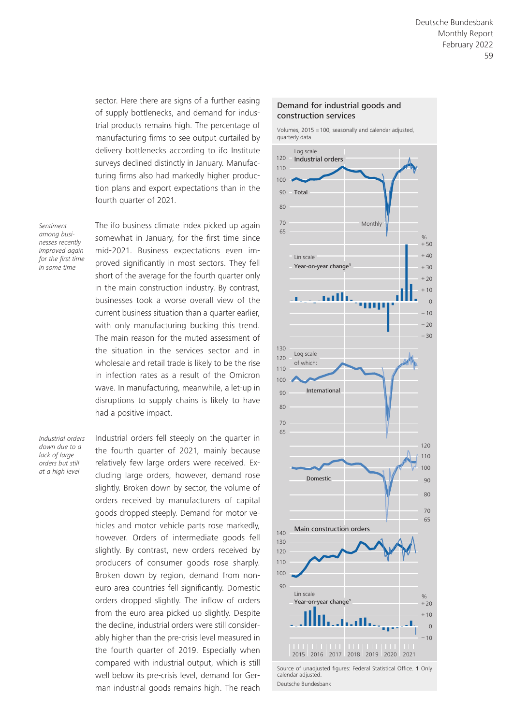sector. Here there are signs of a further easing of supply bottlenecks, and demand for industrial products remains high. The percentage of manufacturing firms to see output curtailed by delivery bottlenecks according to ifo Institute surveys declined distinctly in January. Manufacturing firms also had markedly higher production plans and export expectations than in the fourth quarter of 2021.

*Sentiment among businesses recently improved again for the first time in some time*

The ifo business climate index picked up again somewhat in January, for the first time since mid-2021. Business expectations even improved significantly in most sectors. They fell short of the average for the fourth quarter only in the main construction industry. By contrast, businesses took a worse overall view of the current business situation than a quarter earlier, with only manufacturing bucking this trend. The main reason for the muted assessment of the situation in the services sector and in wholesale and retail trade is likely to be the rise in infection rates as a result of the Omicron wave. In manufacturing, meanwhile, a let-up in disruptions to supply chains is likely to have had a positive impact.

*Industrial orders down due to a lack of large orders but still at a high level*

Industrial orders fell steeply on the quarter in the fourth quarter of 2021, mainly because relatively few large orders were received. Excluding large orders, however, demand rose slightly. Broken down by sector, the volume of orders received by manufacturers of capital goods dropped steeply. Demand for motor vehicles and motor vehicle parts rose markedly, however. Orders of intermediate goods fell slightly. By contrast, new orders received by producers of consumer goods rose sharply. Broken down by region, demand from noneuro area countries fell significantly. Domestic orders dropped slightly. The inflow of orders from the euro area picked up slightly. Despite the decline, industrial orders were still considerably higher than the pre-crisis level measured in the fourth quarter of 2019. Especially when compared with industrial output, which is still well below its pre-crisis level, demand for German industrial goods remains high. The reach

### Demand for industrial goods and construction services

Volumes, 2015 = 100, seasonally and calendar adjusted, quarterly data



Source of unadjusted figures: Federal Statistical Office. **1** Only calendar adjusted. Deutsche Bundesbank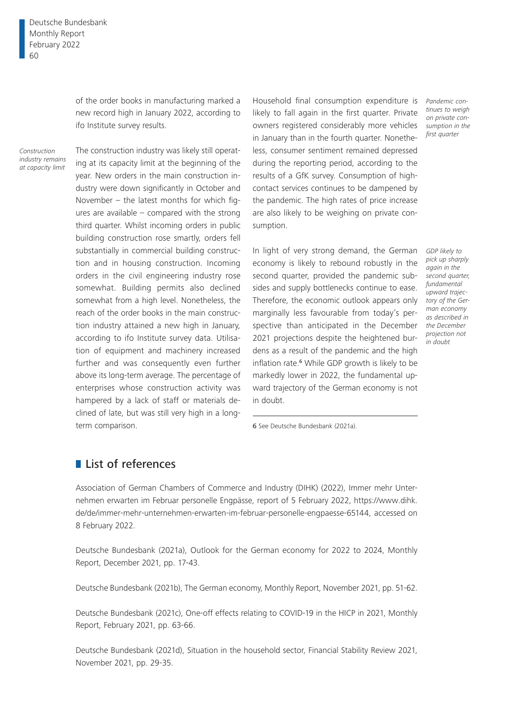of the order books in manufacturing marked a new record high in January 2022, according to ifo Institute survey results.

*Construction industry remains at capacity limit*

The construction industry was likely still operating at its capacity limit at the beginning of the year. New orders in the main construction industry were down significantly in October and November – the latest months for which figures are available – compared with the strong third quarter. Whilst incoming orders in public building construction rose smartly, orders fell substantially in commercial building construction and in housing construction. Incoming orders in the civil engineering industry rose somewhat. Building permits also declined somewhat from a high level. Nonetheless, the reach of the order books in the main construction industry attained a new high in January, according to ifo Institute survey data. Utilisation of equipment and machinery increased further and was consequently even further above its long-term average. The percentage of enterprises whose construction activity was hampered by a lack of staff or materials declined of late, but was still very high in a longterm comparison.

Household final consumption expenditure is *Pandemic con*likely to fall again in the first quarter. Private owners registered considerably more vehicles in January than in the fourth quarter. Nonetheless, consumer sentiment remained depressed during the reporting period, according to the results of a GfK survey. Consumption of highcontact services continues to be dampened by the pandemic. The high rates of price increase are also likely to be weighing on private consumption.

In light of very strong demand, the German economy is likely to rebound robustly in the second quarter, provided the pandemic sub-*second quarter,*  sides and supply bottlenecks continue to ease. *fundamental*  Therefore, the economic outlook appears only *tory of the Ger*marginally less favourable from today's perspective than anticipated in the December 2021 projections despite the heightened burdens as a result of the pandemic and the high inflation rate.<sup>6</sup> While GDP growth is likely to be markedly lower in 2022, the fundamental upward trajectory of the German economy is not in doubt.

*tinues to weigh on private consumption in the first quarter*

*GDP likely to pick up sharply again in the upward trajecman economy as described in the December projection not in doubt*

6 See Deutsche Bundesbank (2021a).

### **List of references**

Association of German Chambers of Commerce and Industry (DIHK) (2022), Immer mehr Unternehmen erwarten im Februar personelle Engpässe, report of 5 February 2022, https://www.dihk. de/de/immer-mehr-unternehmen-erwarten-im-februar-personelle-engpaesse-65144, accessed on 8 February 2022.

Deutsche Bundesbank (2021a), Outlook for the German economy for 2022 to 2024, Monthly Report, December 2021, pp. 17-43.

Deutsche Bundesbank (2021b), The German economy, Monthly Report, November 2021, pp. 51-62.

Deutsche Bundesbank (2021c), One-off effects relating to COVID-19 in the HICP in 2021, Monthly Report, February 2021, pp. 63-66.

Deutsche Bundesbank (2021d), Situation in the household sector, Financial Stability Review 2021, November 2021, pp. 29-35.